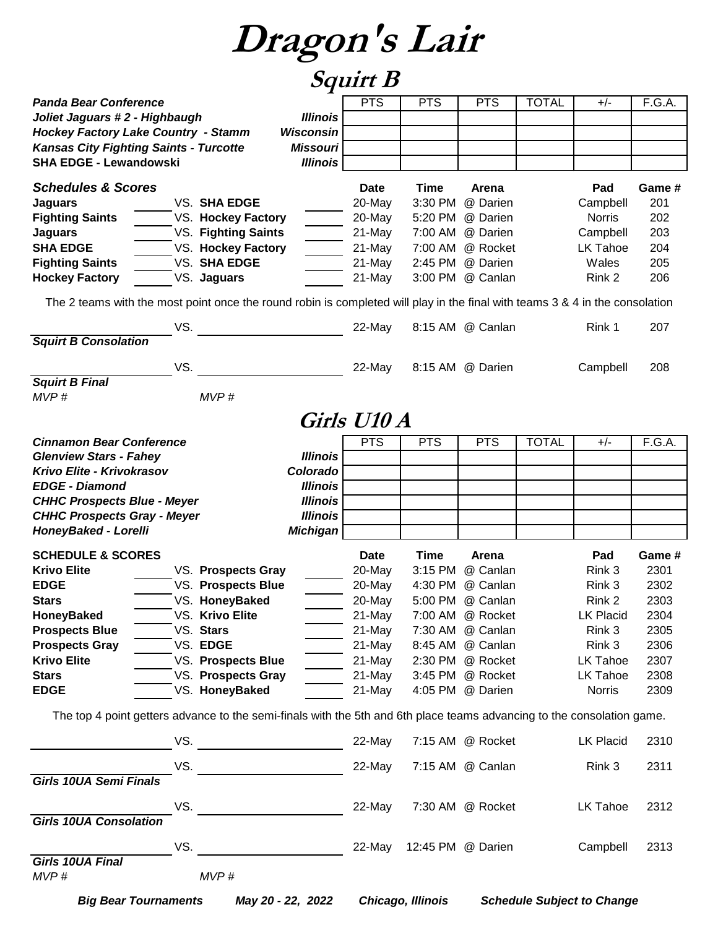### **Squirt B**

|                                                                                                                                 |                     | <b>x</b>         |             |                   |                  |              |                  |        |
|---------------------------------------------------------------------------------------------------------------------------------|---------------------|------------------|-------------|-------------------|------------------|--------------|------------------|--------|
| <b>Panda Bear Conference</b>                                                                                                    |                     |                  | <b>PTS</b>  | <b>PTS</b>        | <b>PTS</b>       | <b>TOTAL</b> | $+/-$            | F.G.A. |
| Joliet Jaguars #2 - Highbaugh                                                                                                   |                     | <b>Illinois</b>  |             |                   |                  |              |                  |        |
| <b>Hockey Factory Lake Country - Stamm</b>                                                                                      |                     | <b>Wisconsin</b> |             |                   |                  |              |                  |        |
| <b>Kansas City Fighting Saints - Turcotte</b>                                                                                   |                     | <b>Missouri</b>  |             |                   |                  |              |                  |        |
| <b>SHA EDGE - Lewandowski</b>                                                                                                   |                     | <b>Illinois</b>  |             |                   |                  |              |                  |        |
|                                                                                                                                 |                     |                  |             |                   |                  |              |                  |        |
| <b>Schedules &amp; Scores</b>                                                                                                   |                     |                  | <b>Date</b> | Time              | Arena            |              | Pad              | Game # |
| <b>Jaguars</b>                                                                                                                  | VS. SHA EDGE        |                  | 20-May      | 3:30 PM           | @ Darien         |              | Campbell         | 201    |
| <b>Fighting Saints</b>                                                                                                          | VS. Hockey Factory  |                  | 20-May      | 5:20 PM           | @ Darien         |              | <b>Norris</b>    | 202    |
| <b>Jaguars</b>                                                                                                                  | VS. Fighting Saints |                  | 21-May      | 7:00 AM           | @ Darien         |              | Campbell         | 203    |
| <b>SHA EDGE</b>                                                                                                                 | VS. Hockey Factory  |                  | 21-May      | 7:00 AM           | @ Rocket         |              | LK Tahoe         | 204    |
| <b>Fighting Saints</b>                                                                                                          | VS. SHA EDGE        |                  | 21-May      | 2:45 PM           | @ Darien         |              | Wales            | 205    |
| <b>Hockey Factory</b>                                                                                                           | VS. Jaguars         |                  | 21-May      | 3:00 PM           | @ Canlan         |              | Rink 2           | 206    |
|                                                                                                                                 |                     |                  |             |                   |                  |              |                  |        |
| The 2 teams with the most point once the round robin is completed will play in the final with teams $3 \& 4$ in the consolation |                     |                  |             |                   |                  |              |                  |        |
|                                                                                                                                 |                     |                  |             |                   |                  |              |                  |        |
| VS.                                                                                                                             |                     |                  | 22-May      |                   | 8:15 AM @ Canlan |              | Rink 1           | 207    |
| <b>Squirt B Consolation</b>                                                                                                     |                     |                  |             |                   |                  |              |                  |        |
|                                                                                                                                 |                     |                  |             |                   |                  |              |                  |        |
| VS.                                                                                                                             |                     |                  | 22-May      |                   | 8:15 AM @ Darien |              | Campbell         | 208    |
| <b>Squirt B Final</b>                                                                                                           |                     |                  |             |                   |                  |              |                  |        |
| MVP#                                                                                                                            | MVP#                |                  |             |                   |                  |              |                  |        |
|                                                                                                                                 |                     |                  |             |                   |                  |              |                  |        |
|                                                                                                                                 |                     |                  | Girls U10 A |                   |                  |              |                  |        |
| <b>Cinnamon Bear Conference</b>                                                                                                 |                     |                  | <b>PTS</b>  | <b>PTS</b>        | <b>PTS</b>       | <b>TOTAL</b> | $+/-$            | F.G.A. |
| <b>Glenview Stars - Fahey</b>                                                                                                   |                     | <b>Illinois</b>  |             |                   |                  |              |                  |        |
| Krivo Elite - Krivokrasov                                                                                                       |                     | Colorado         |             |                   |                  |              |                  |        |
| <b>EDGE - Diamond</b>                                                                                                           |                     | <b>Illinois</b>  |             |                   |                  |              |                  |        |
| <b>CHHC Prospects Blue - Meyer</b>                                                                                              |                     | <b>Illinois</b>  |             |                   |                  |              |                  |        |
| <b>CHHC Prospects Gray - Meyer</b>                                                                                              |                     | <b>Illinois</b>  |             |                   |                  |              |                  |        |
| HoneyBaked - Lorelli                                                                                                            |                     | <b>Michigan</b>  |             |                   |                  |              |                  |        |
|                                                                                                                                 |                     |                  |             |                   |                  |              |                  |        |
| <b>SCHEDULE &amp; SCORES</b>                                                                                                    |                     |                  | <b>Date</b> | <b>Time</b>       | Arena            |              | Pad              | Game # |
| <b>Krivo Elite</b>                                                                                                              | VS. Prospects Gray  |                  | 20-May      | 3:15 PM           | @ Canlan         |              | Rink 3           | 2301   |
| <b>EDGE</b>                                                                                                                     | VS. Prospects Blue  |                  | 20-May      | 4:30 PM           | @ Canlan         |              | Rink 3           | 2302   |
| <b>Stars</b>                                                                                                                    | VS. HoneyBaked      |                  | 20-May      |                   | 5:00 PM @ Canlan |              | Rink 2           | 2303   |
| HoneyBaked                                                                                                                      | VS. Krivo Elite     |                  | 21-May      |                   | 7:00 AM @ Rocket |              | LK Placid        | 2304   |
| <b>Prospects Blue</b>                                                                                                           | VS. Stars           |                  | 21-May      |                   | 7:30 AM @ Canlan |              | Rink 3           | 2305   |
| <b>Prospects Gray</b>                                                                                                           | VS. EDGE            |                  | 21-May      |                   | 8:45 AM @ Canlan |              | Rink 3           | 2306   |
| <b>Krivo Elite</b>                                                                                                              | VS. Prospects Blue  |                  | 21-May      |                   | 2:30 PM @ Rocket |              | LK Tahoe         | 2307   |
| <b>Stars</b>                                                                                                                    | VS. Prospects Gray  |                  | 21-May      |                   | 3:45 PM @ Rocket |              | LK Tahoe         | 2308   |
| <b>EDGE</b>                                                                                                                     | VS. HoneyBaked      |                  | 21-May      |                   | 4:05 PM @ Darien |              | Norris           | 2309   |
|                                                                                                                                 |                     |                  |             |                   |                  |              |                  |        |
| The top 4 point getters advance to the semi-finals with the 5th and 6th place teams advancing to the consolation game.          |                     |                  |             |                   |                  |              |                  |        |
|                                                                                                                                 |                     |                  |             |                   |                  |              |                  |        |
| VS.                                                                                                                             |                     |                  | 22-May      |                   | 7:15 AM @ Rocket |              | <b>LK Placid</b> | 2310   |
|                                                                                                                                 |                     |                  |             |                   |                  |              |                  |        |
| VS.                                                                                                                             |                     |                  | 22-May      |                   | 7:15 AM @ Canlan |              | Rink 3           | 2311   |
| <b>Girls 10UA Semi Finals</b>                                                                                                   |                     |                  |             |                   |                  |              |                  |        |
|                                                                                                                                 |                     |                  |             |                   |                  |              |                  |        |
| VS.                                                                                                                             |                     |                  | 22-May      |                   | 7:30 AM @ Rocket |              | LK Tahoe         | 2312   |
| <b>Girls 10UA Consolation</b>                                                                                                   |                     |                  |             |                   |                  |              |                  |        |
|                                                                                                                                 |                     |                  |             |                   |                  |              |                  |        |
| VS.                                                                                                                             |                     |                  | 22-May      | 12:45 PM @ Darien |                  |              | Campbell         | 2313   |
| Girls 10UA Final                                                                                                                |                     |                  |             |                   |                  |              |                  |        |
| MVP#                                                                                                                            | MVP#                |                  |             |                   |                  |              |                  |        |
|                                                                                                                                 |                     |                  |             |                   |                  |              |                  |        |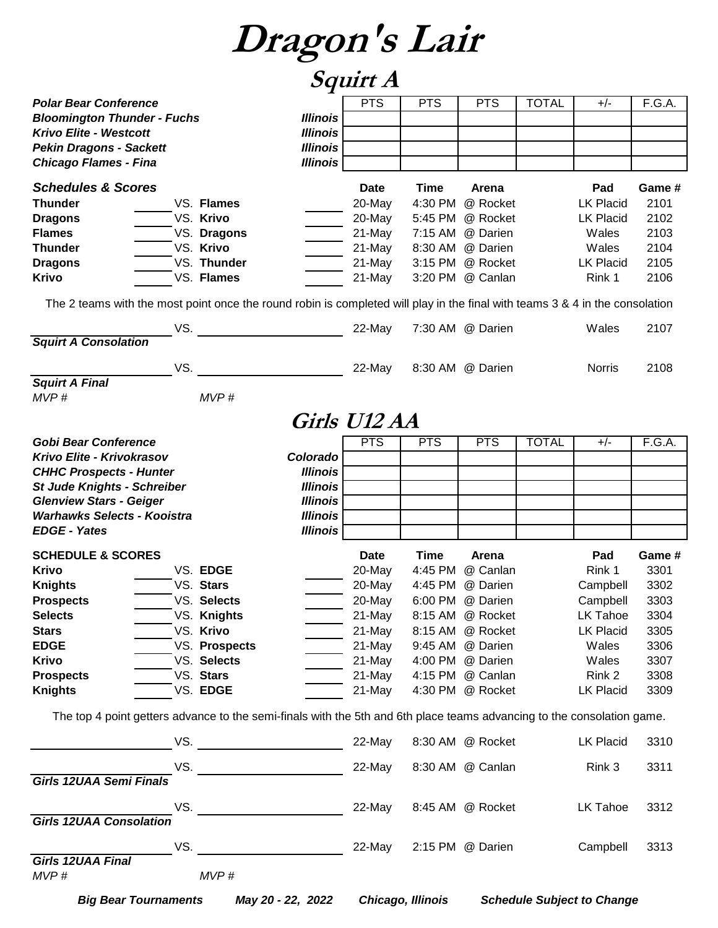|                                                                                                                              |                                                                                                                        | <i>Squirt A</i> |            |                  |              |                  |        |
|------------------------------------------------------------------------------------------------------------------------------|------------------------------------------------------------------------------------------------------------------------|-----------------|------------|------------------|--------------|------------------|--------|
| <b>Polar Bear Conference</b>                                                                                                 |                                                                                                                        | <b>PTS</b>      | <b>PTS</b> | <b>PTS</b>       | <b>TOTAL</b> | $+/-$            | F.G.A. |
| <b>Bloomington Thunder - Fuchs</b>                                                                                           | <b>Illinois</b>                                                                                                        |                 |            |                  |              |                  |        |
| <b>Krivo Elite - Westcott</b>                                                                                                | <b>Illinois</b>                                                                                                        |                 |            |                  |              |                  |        |
| <b>Pekin Dragons - Sackett</b>                                                                                               | <b>Illinois</b>                                                                                                        |                 |            |                  |              |                  |        |
| <b>Chicago Flames - Fina</b>                                                                                                 | <b>Illinois</b>                                                                                                        |                 |            |                  |              |                  |        |
| <b>Schedules &amp; Scores</b>                                                                                                |                                                                                                                        | <b>Date</b>     | Time       | Arena            |              | Pad              | Game # |
| Thunder                                                                                                                      | VS. Flames                                                                                                             | 20-May          | 4:30 PM    | @ Rocket         |              | <b>LK Placid</b> | 2101   |
| <b>Dragons</b>                                                                                                               | VS. Krivo                                                                                                              | 20-May          | 5:45 PM    | @ Rocket         |              | <b>LK Placid</b> | 2102   |
| <b>Flames</b>                                                                                                                | VS. Dragons                                                                                                            | 21-May          | 7:15 AM    | @ Darien         |              | Wales            | 2103   |
| <b>Thunder</b>                                                                                                               | VS. Krivo                                                                                                              | 21-May          | 8:30 AM    | @ Darien         |              | Wales            | 2104   |
| <b>Dragons</b>                                                                                                               | VS. Thunder                                                                                                            | 21-May          | 3:15 PM    | @ Rocket         |              | <b>LK Placid</b> | 2105   |
| <b>Krivo</b>                                                                                                                 | VS. Flames                                                                                                             | 21-May          |            | 3:20 PM @ Canlan |              | Rink 1           | 2106   |
| The 2 teams with the most point once the round robin is completed will play in the final with teams 3 & 4 in the consolation |                                                                                                                        |                 |            |                  |              |                  |        |
| VS.                                                                                                                          |                                                                                                                        | 22-May          |            | 7:30 AM @ Darien |              | Wales            | 2107   |
| <b>Squirt A Consolation</b>                                                                                                  |                                                                                                                        |                 |            |                  |              |                  |        |
| VS.                                                                                                                          |                                                                                                                        | 22-May          |            | 8:30 AM @ Darien |              | <b>Norris</b>    | 2108   |
| <b>Squirt A Final</b><br>MVP#                                                                                                | MVP#                                                                                                                   |                 |            |                  |              |                  |        |
|                                                                                                                              |                                                                                                                        |                 |            |                  |              |                  |        |
|                                                                                                                              |                                                                                                                        | Girls U12 AA    |            |                  |              |                  |        |
| <b>Gobi Bear Conference</b>                                                                                                  |                                                                                                                        | <b>PTS</b>      | <b>PTS</b> | <b>PTS</b>       | <b>TOTAL</b> | $+/-$            | F.G.A. |
| Krivo Elite - Krivokrasov                                                                                                    | Colorado                                                                                                               |                 |            |                  |              |                  |        |
| <b>CHHC Prospects - Hunter</b>                                                                                               | <b>Illinois</b>                                                                                                        |                 |            |                  |              |                  |        |
| <b>St Jude Knights - Schreiber</b><br><b>Glenview Stars - Geiger</b>                                                         | <b>Illinois</b><br><b>Illinois</b>                                                                                     |                 |            |                  |              |                  |        |
| <b>Warhawks Selects - Kooistra</b>                                                                                           | <b>Illinois</b>                                                                                                        |                 |            |                  |              |                  |        |
| <b>EDGE - Yates</b>                                                                                                          | <b>Illinois</b>                                                                                                        |                 |            |                  |              |                  |        |
| <b>SCHEDULE &amp; SCORES</b>                                                                                                 |                                                                                                                        | <b>Date</b>     | Time       | Arena            |              | Pad              | Game # |
| <b>Krivo</b>                                                                                                                 | VS. EDGE                                                                                                               | 20-May          | 4:45 PM    | @ Canlan         |              | Rink 1           | 3301   |
| <b>Knights</b>                                                                                                               | VS. Stars                                                                                                              | 20-May          | 4:45 PM    | @ Darien         |              | Campbell         | 3302   |
| <b>Prospects</b>                                                                                                             | VS. Selects                                                                                                            | 20-May          |            | 6:00 PM @ Darien |              | Campbell         | 3303   |
| <b>Selects</b>                                                                                                               | VS. Knights                                                                                                            | 21-May          |            | 8:15 AM @ Rocket |              | LK Tahoe         | 3304   |
| <b>Stars</b>                                                                                                                 | VS. Krivo                                                                                                              | 21-May          |            | 8:15 AM @ Rocket |              | <b>LK Placid</b> | 3305   |
| <b>EDGE</b>                                                                                                                  | VS. Prospects                                                                                                          | 21-May          |            | 9:45 AM @ Darien |              | Wales            | 3306   |
| <b>Krivo</b>                                                                                                                 | VS. Selects                                                                                                            | 21-May          |            | 4:00 PM @ Darien |              | Wales            | 3307   |
| <b>Prospects</b>                                                                                                             | VS. Stars                                                                                                              | 21-May          |            | 4:15 PM @ Canlan |              | Rink 2           | 3308   |
| <b>Knights</b>                                                                                                               | VS. EDGE                                                                                                               | 21-May          |            | 4:30 PM @ Rocket |              | <b>LK Placid</b> | 3309   |
|                                                                                                                              | The top 4 point getters advance to the semi-finals with the 5th and 6th place teams advancing to the consolation game. |                 |            |                  |              |                  |        |
|                                                                                                                              | VS. __________________________                                                                                         | 22-May          |            | 8:30 AM @ Rocket |              | <b>LK Placid</b> | 3310   |
| VS.                                                                                                                          |                                                                                                                        | 22-May          |            | 8:30 AM @ Canlan |              | Rink 3           | 3311   |
| <b>Girls 12UAA Semi Finals</b>                                                                                               |                                                                                                                        |                 |            |                  |              |                  |        |
| VS.<br><b>Girls 12UAA Consolation</b>                                                                                        |                                                                                                                        | 22-May          |            | 8:45 AM @ Rocket |              | LK Tahoe         | 3312   |
|                                                                                                                              | VS.<br><u> Alban Maria (</u>                                                                                           | 22-May          |            | 2:15 PM @ Darien |              | Campbell         | 3313   |
| <b>Girls 12UAA Final</b>                                                                                                     |                                                                                                                        |                 |            |                  |              |                  |        |
| MVP#                                                                                                                         | MVP#                                                                                                                   |                 |            |                  |              |                  |        |

*Big Bear Tournaments May 20 - 22, 2022 Chicago, Illinois Schedule Subject to Change*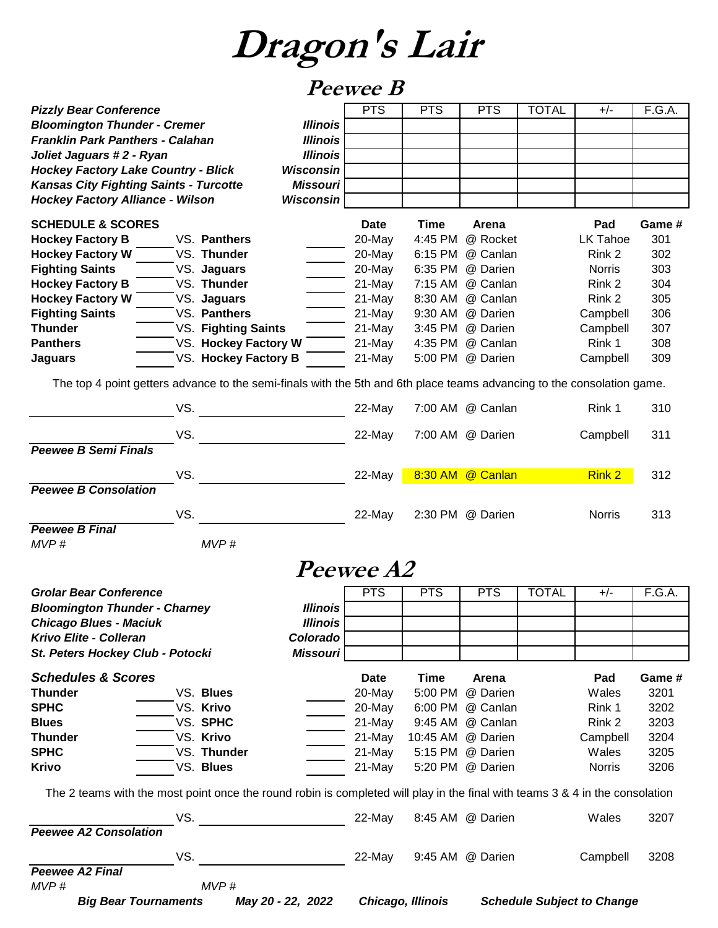#### **Peewee B**

| <b>Bloomington Thunder - Cremer</b><br><b>Illinois</b><br><b>Franklin Park Panthers - Calahan</b><br><b>Illinois</b><br>Joliet Jaguars #2 - Ryan<br><b>Illinois</b><br><b>Hockey Factory Lake Country - Blick</b><br><b>Wisconsin</b><br><b>Kansas City Fighting Saints - Turcotte</b><br><b>Missouri</b><br><b>Hockey Factory Alliance - Wilson</b><br><b>Wisconsin</b><br><b>SCHEDULE &amp; SCORES</b><br><b>Date</b><br><b>Time</b><br>Pad<br>Game #<br>Arena<br>4:45 PM<br>@ Rocket<br>301<br><b>Hockey Factory B</b><br>VS. Panthers<br>20-May<br><b>LK Tahoe</b><br><b>Hockey Factory W</b><br>302<br>VS. Thunder<br>20-May<br>6:15 PM<br>@ Canlan<br>Rink 2<br><b>Fighting Saints</b><br>303<br>VS. Jaguars<br>20-May<br>6:35 PM<br>@ Darien<br><b>Norris</b><br><b>Hockey Factory B</b><br>VS. Thunder<br>304<br>21-May<br>7:15 AM<br>@ Canlan<br>Rink 2<br><b>Hockey Factory W</b><br>Rink 2<br>305<br>VS. Jaguars<br>21-May<br>8:30 AM<br>@ Canlan<br><b>Fighting Saints</b><br>VS. Panthers<br>306<br>21-May<br>9:30 AM<br>@ Darien<br>Campbell<br><b>Thunder</b><br>VS. Fighting Saints<br>3:45 PM<br>307<br>21-May<br>@ Darien<br>Campbell<br>VS. Hockey Factory W<br><b>Panthers</b><br>Rink 1<br>308<br>21-May<br>4:35 PM<br>@ Canlan<br>VS. Hockey Factory B<br>5:00 PM<br>309<br>21-May<br>@ Darien<br>Campbell<br><b>Jaguars</b><br>The top 4 point getters advance to the semi-finals with the 5th and 6th place teams advancing to the consolation game.<br>VS.<br>7:00 AM @ Canlan<br>22-May<br>Rink 1<br>310<br>VS.<br>22-May<br>7:00 AM @ Darien<br>Campbell<br>311<br><b>Peewee B Semi Finals</b><br>VS.<br>8:30 AM @ Canlan<br>312<br><b>Rink 2</b><br>22-May<br><b>Peewee B Consolation</b><br>VS.<br>313<br>22-May<br>2:30 PM @ Darien<br><b>Norris</b><br><b>Peewee B Final</b><br>MVP#<br>MVP#<br><i>Peewee A2</i><br>F.G.A.<br><b>Grolar Bear Conference</b><br><b>PTS</b><br><b>PTS</b><br><b>PTS</b><br><b>TOTAL</b><br>$+/-$<br><b>Bloomington Thunder - Charney</b><br><b>Illinois</b><br><b>Chicago Blues - Maciuk</b><br><b>Illinois</b><br>Krivo Elite - Colleran<br>Colorado<br>St. Peters Hockey Club - Potocki<br><b>Missouri</b><br><b>Schedules &amp; Scores</b><br><b>Time</b><br>Pad<br>Game #<br><b>Date</b><br>Arena<br><b>Thunder</b><br>VS. Blues<br>20-May<br>5:00 PM<br>@ Darien<br>3201<br>Wales<br><b>SPHC</b><br>VS. Krivo<br>20-May<br>6:00 PM @ Canlan<br>3202<br>Rink 1<br>VS. SPHC<br>21-May<br>9:45 AM<br>@ Canlan<br>Rink 2<br>3203<br><b>Blues</b><br>VS. Krivo<br>3204<br><b>Thunder</b><br>21-May<br>10:45 AM<br>@ Darien<br>Campbell<br><b>SPHC</b><br>VS. Thunder<br>5:15 PM @ Darien<br>3205<br>21-May<br>Wales<br>VS. Blues<br><b>Krivo</b><br>21-May<br>5:20 PM @ Darien<br>3206<br><b>Norris</b><br>The 2 teams with the most point once the round robin is completed will play in the final with teams 3 & 4 in the consolation<br>3207<br>VS.<br>22-May<br>8:45 AM @ Darien<br>Wales<br><b>Peewee A2 Consolation</b><br>VS.<br>22-May<br>3208<br>9:45 AM @ Darien<br>Campbell<br><b>Peewee A2 Final</b><br>MVP#<br>MVP#<br><b>Big Bear Tournaments</b><br>May 20 - 22, 2022<br>Chicago, Illinois<br><b>Schedule Subject to Change</b> | <b>Pizzly Bear Conference</b> |  | <b>PTS</b> | <b>PTS</b> | <b>PTS</b> | <b>TOTAL</b> | $+/-$ | F.G.A. |
|-------------------------------------------------------------------------------------------------------------------------------------------------------------------------------------------------------------------------------------------------------------------------------------------------------------------------------------------------------------------------------------------------------------------------------------------------------------------------------------------------------------------------------------------------------------------------------------------------------------------------------------------------------------------------------------------------------------------------------------------------------------------------------------------------------------------------------------------------------------------------------------------------------------------------------------------------------------------------------------------------------------------------------------------------------------------------------------------------------------------------------------------------------------------------------------------------------------------------------------------------------------------------------------------------------------------------------------------------------------------------------------------------------------------------------------------------------------------------------------------------------------------------------------------------------------------------------------------------------------------------------------------------------------------------------------------------------------------------------------------------------------------------------------------------------------------------------------------------------------------------------------------------------------------------------------------------------------------------------------------------------------------------------------------------------------------------------------------------------------------------------------------------------------------------------------------------------------------------------------------------------------------------------------------------------------------------------------------------------------------------------------------------------------------------------------------------------------------------------------------------------------------------------------------------------------------------------------------------------------------------------------------------------------------------------------------------------------------------------------------------------------------------------------------------------------------------------------------------------------------------------------------------------------------------------------------------------------------------------------------------------------------------------------------------------------------------------------------------------------------------------------------------------------------------------------------------------------|-------------------------------|--|------------|------------|------------|--------------|-------|--------|
|                                                                                                                                                                                                                                                                                                                                                                                                                                                                                                                                                                                                                                                                                                                                                                                                                                                                                                                                                                                                                                                                                                                                                                                                                                                                                                                                                                                                                                                                                                                                                                                                                                                                                                                                                                                                                                                                                                                                                                                                                                                                                                                                                                                                                                                                                                                                                                                                                                                                                                                                                                                                                                                                                                                                                                                                                                                                                                                                                                                                                                                                                                                                                                                                             |                               |  |            |            |            |              |       |        |
|                                                                                                                                                                                                                                                                                                                                                                                                                                                                                                                                                                                                                                                                                                                                                                                                                                                                                                                                                                                                                                                                                                                                                                                                                                                                                                                                                                                                                                                                                                                                                                                                                                                                                                                                                                                                                                                                                                                                                                                                                                                                                                                                                                                                                                                                                                                                                                                                                                                                                                                                                                                                                                                                                                                                                                                                                                                                                                                                                                                                                                                                                                                                                                                                             |                               |  |            |            |            |              |       |        |
|                                                                                                                                                                                                                                                                                                                                                                                                                                                                                                                                                                                                                                                                                                                                                                                                                                                                                                                                                                                                                                                                                                                                                                                                                                                                                                                                                                                                                                                                                                                                                                                                                                                                                                                                                                                                                                                                                                                                                                                                                                                                                                                                                                                                                                                                                                                                                                                                                                                                                                                                                                                                                                                                                                                                                                                                                                                                                                                                                                                                                                                                                                                                                                                                             |                               |  |            |            |            |              |       |        |
|                                                                                                                                                                                                                                                                                                                                                                                                                                                                                                                                                                                                                                                                                                                                                                                                                                                                                                                                                                                                                                                                                                                                                                                                                                                                                                                                                                                                                                                                                                                                                                                                                                                                                                                                                                                                                                                                                                                                                                                                                                                                                                                                                                                                                                                                                                                                                                                                                                                                                                                                                                                                                                                                                                                                                                                                                                                                                                                                                                                                                                                                                                                                                                                                             |                               |  |            |            |            |              |       |        |
|                                                                                                                                                                                                                                                                                                                                                                                                                                                                                                                                                                                                                                                                                                                                                                                                                                                                                                                                                                                                                                                                                                                                                                                                                                                                                                                                                                                                                                                                                                                                                                                                                                                                                                                                                                                                                                                                                                                                                                                                                                                                                                                                                                                                                                                                                                                                                                                                                                                                                                                                                                                                                                                                                                                                                                                                                                                                                                                                                                                                                                                                                                                                                                                                             |                               |  |            |            |            |              |       |        |
|                                                                                                                                                                                                                                                                                                                                                                                                                                                                                                                                                                                                                                                                                                                                                                                                                                                                                                                                                                                                                                                                                                                                                                                                                                                                                                                                                                                                                                                                                                                                                                                                                                                                                                                                                                                                                                                                                                                                                                                                                                                                                                                                                                                                                                                                                                                                                                                                                                                                                                                                                                                                                                                                                                                                                                                                                                                                                                                                                                                                                                                                                                                                                                                                             |                               |  |            |            |            |              |       |        |
|                                                                                                                                                                                                                                                                                                                                                                                                                                                                                                                                                                                                                                                                                                                                                                                                                                                                                                                                                                                                                                                                                                                                                                                                                                                                                                                                                                                                                                                                                                                                                                                                                                                                                                                                                                                                                                                                                                                                                                                                                                                                                                                                                                                                                                                                                                                                                                                                                                                                                                                                                                                                                                                                                                                                                                                                                                                                                                                                                                                                                                                                                                                                                                                                             |                               |  |            |            |            |              |       |        |
|                                                                                                                                                                                                                                                                                                                                                                                                                                                                                                                                                                                                                                                                                                                                                                                                                                                                                                                                                                                                                                                                                                                                                                                                                                                                                                                                                                                                                                                                                                                                                                                                                                                                                                                                                                                                                                                                                                                                                                                                                                                                                                                                                                                                                                                                                                                                                                                                                                                                                                                                                                                                                                                                                                                                                                                                                                                                                                                                                                                                                                                                                                                                                                                                             |                               |  |            |            |            |              |       |        |
|                                                                                                                                                                                                                                                                                                                                                                                                                                                                                                                                                                                                                                                                                                                                                                                                                                                                                                                                                                                                                                                                                                                                                                                                                                                                                                                                                                                                                                                                                                                                                                                                                                                                                                                                                                                                                                                                                                                                                                                                                                                                                                                                                                                                                                                                                                                                                                                                                                                                                                                                                                                                                                                                                                                                                                                                                                                                                                                                                                                                                                                                                                                                                                                                             |                               |  |            |            |            |              |       |        |
|                                                                                                                                                                                                                                                                                                                                                                                                                                                                                                                                                                                                                                                                                                                                                                                                                                                                                                                                                                                                                                                                                                                                                                                                                                                                                                                                                                                                                                                                                                                                                                                                                                                                                                                                                                                                                                                                                                                                                                                                                                                                                                                                                                                                                                                                                                                                                                                                                                                                                                                                                                                                                                                                                                                                                                                                                                                                                                                                                                                                                                                                                                                                                                                                             |                               |  |            |            |            |              |       |        |
|                                                                                                                                                                                                                                                                                                                                                                                                                                                                                                                                                                                                                                                                                                                                                                                                                                                                                                                                                                                                                                                                                                                                                                                                                                                                                                                                                                                                                                                                                                                                                                                                                                                                                                                                                                                                                                                                                                                                                                                                                                                                                                                                                                                                                                                                                                                                                                                                                                                                                                                                                                                                                                                                                                                                                                                                                                                                                                                                                                                                                                                                                                                                                                                                             |                               |  |            |            |            |              |       |        |
|                                                                                                                                                                                                                                                                                                                                                                                                                                                                                                                                                                                                                                                                                                                                                                                                                                                                                                                                                                                                                                                                                                                                                                                                                                                                                                                                                                                                                                                                                                                                                                                                                                                                                                                                                                                                                                                                                                                                                                                                                                                                                                                                                                                                                                                                                                                                                                                                                                                                                                                                                                                                                                                                                                                                                                                                                                                                                                                                                                                                                                                                                                                                                                                                             |                               |  |            |            |            |              |       |        |
|                                                                                                                                                                                                                                                                                                                                                                                                                                                                                                                                                                                                                                                                                                                                                                                                                                                                                                                                                                                                                                                                                                                                                                                                                                                                                                                                                                                                                                                                                                                                                                                                                                                                                                                                                                                                                                                                                                                                                                                                                                                                                                                                                                                                                                                                                                                                                                                                                                                                                                                                                                                                                                                                                                                                                                                                                                                                                                                                                                                                                                                                                                                                                                                                             |                               |  |            |            |            |              |       |        |
|                                                                                                                                                                                                                                                                                                                                                                                                                                                                                                                                                                                                                                                                                                                                                                                                                                                                                                                                                                                                                                                                                                                                                                                                                                                                                                                                                                                                                                                                                                                                                                                                                                                                                                                                                                                                                                                                                                                                                                                                                                                                                                                                                                                                                                                                                                                                                                                                                                                                                                                                                                                                                                                                                                                                                                                                                                                                                                                                                                                                                                                                                                                                                                                                             |                               |  |            |            |            |              |       |        |
|                                                                                                                                                                                                                                                                                                                                                                                                                                                                                                                                                                                                                                                                                                                                                                                                                                                                                                                                                                                                                                                                                                                                                                                                                                                                                                                                                                                                                                                                                                                                                                                                                                                                                                                                                                                                                                                                                                                                                                                                                                                                                                                                                                                                                                                                                                                                                                                                                                                                                                                                                                                                                                                                                                                                                                                                                                                                                                                                                                                                                                                                                                                                                                                                             |                               |  |            |            |            |              |       |        |
|                                                                                                                                                                                                                                                                                                                                                                                                                                                                                                                                                                                                                                                                                                                                                                                                                                                                                                                                                                                                                                                                                                                                                                                                                                                                                                                                                                                                                                                                                                                                                                                                                                                                                                                                                                                                                                                                                                                                                                                                                                                                                                                                                                                                                                                                                                                                                                                                                                                                                                                                                                                                                                                                                                                                                                                                                                                                                                                                                                                                                                                                                                                                                                                                             |                               |  |            |            |            |              |       |        |
|                                                                                                                                                                                                                                                                                                                                                                                                                                                                                                                                                                                                                                                                                                                                                                                                                                                                                                                                                                                                                                                                                                                                                                                                                                                                                                                                                                                                                                                                                                                                                                                                                                                                                                                                                                                                                                                                                                                                                                                                                                                                                                                                                                                                                                                                                                                                                                                                                                                                                                                                                                                                                                                                                                                                                                                                                                                                                                                                                                                                                                                                                                                                                                                                             |                               |  |            |            |            |              |       |        |
|                                                                                                                                                                                                                                                                                                                                                                                                                                                                                                                                                                                                                                                                                                                                                                                                                                                                                                                                                                                                                                                                                                                                                                                                                                                                                                                                                                                                                                                                                                                                                                                                                                                                                                                                                                                                                                                                                                                                                                                                                                                                                                                                                                                                                                                                                                                                                                                                                                                                                                                                                                                                                                                                                                                                                                                                                                                                                                                                                                                                                                                                                                                                                                                                             |                               |  |            |            |            |              |       |        |
|                                                                                                                                                                                                                                                                                                                                                                                                                                                                                                                                                                                                                                                                                                                                                                                                                                                                                                                                                                                                                                                                                                                                                                                                                                                                                                                                                                                                                                                                                                                                                                                                                                                                                                                                                                                                                                                                                                                                                                                                                                                                                                                                                                                                                                                                                                                                                                                                                                                                                                                                                                                                                                                                                                                                                                                                                                                                                                                                                                                                                                                                                                                                                                                                             |                               |  |            |            |            |              |       |        |
|                                                                                                                                                                                                                                                                                                                                                                                                                                                                                                                                                                                                                                                                                                                                                                                                                                                                                                                                                                                                                                                                                                                                                                                                                                                                                                                                                                                                                                                                                                                                                                                                                                                                                                                                                                                                                                                                                                                                                                                                                                                                                                                                                                                                                                                                                                                                                                                                                                                                                                                                                                                                                                                                                                                                                                                                                                                                                                                                                                                                                                                                                                                                                                                                             |                               |  |            |            |            |              |       |        |
|                                                                                                                                                                                                                                                                                                                                                                                                                                                                                                                                                                                                                                                                                                                                                                                                                                                                                                                                                                                                                                                                                                                                                                                                                                                                                                                                                                                                                                                                                                                                                                                                                                                                                                                                                                                                                                                                                                                                                                                                                                                                                                                                                                                                                                                                                                                                                                                                                                                                                                                                                                                                                                                                                                                                                                                                                                                                                                                                                                                                                                                                                                                                                                                                             |                               |  |            |            |            |              |       |        |
|                                                                                                                                                                                                                                                                                                                                                                                                                                                                                                                                                                                                                                                                                                                                                                                                                                                                                                                                                                                                                                                                                                                                                                                                                                                                                                                                                                                                                                                                                                                                                                                                                                                                                                                                                                                                                                                                                                                                                                                                                                                                                                                                                                                                                                                                                                                                                                                                                                                                                                                                                                                                                                                                                                                                                                                                                                                                                                                                                                                                                                                                                                                                                                                                             |                               |  |            |            |            |              |       |        |
|                                                                                                                                                                                                                                                                                                                                                                                                                                                                                                                                                                                                                                                                                                                                                                                                                                                                                                                                                                                                                                                                                                                                                                                                                                                                                                                                                                                                                                                                                                                                                                                                                                                                                                                                                                                                                                                                                                                                                                                                                                                                                                                                                                                                                                                                                                                                                                                                                                                                                                                                                                                                                                                                                                                                                                                                                                                                                                                                                                                                                                                                                                                                                                                                             |                               |  |            |            |            |              |       |        |
|                                                                                                                                                                                                                                                                                                                                                                                                                                                                                                                                                                                                                                                                                                                                                                                                                                                                                                                                                                                                                                                                                                                                                                                                                                                                                                                                                                                                                                                                                                                                                                                                                                                                                                                                                                                                                                                                                                                                                                                                                                                                                                                                                                                                                                                                                                                                                                                                                                                                                                                                                                                                                                                                                                                                                                                                                                                                                                                                                                                                                                                                                                                                                                                                             |                               |  |            |            |            |              |       |        |
|                                                                                                                                                                                                                                                                                                                                                                                                                                                                                                                                                                                                                                                                                                                                                                                                                                                                                                                                                                                                                                                                                                                                                                                                                                                                                                                                                                                                                                                                                                                                                                                                                                                                                                                                                                                                                                                                                                                                                                                                                                                                                                                                                                                                                                                                                                                                                                                                                                                                                                                                                                                                                                                                                                                                                                                                                                                                                                                                                                                                                                                                                                                                                                                                             |                               |  |            |            |            |              |       |        |
|                                                                                                                                                                                                                                                                                                                                                                                                                                                                                                                                                                                                                                                                                                                                                                                                                                                                                                                                                                                                                                                                                                                                                                                                                                                                                                                                                                                                                                                                                                                                                                                                                                                                                                                                                                                                                                                                                                                                                                                                                                                                                                                                                                                                                                                                                                                                                                                                                                                                                                                                                                                                                                                                                                                                                                                                                                                                                                                                                                                                                                                                                                                                                                                                             |                               |  |            |            |            |              |       |        |
|                                                                                                                                                                                                                                                                                                                                                                                                                                                                                                                                                                                                                                                                                                                                                                                                                                                                                                                                                                                                                                                                                                                                                                                                                                                                                                                                                                                                                                                                                                                                                                                                                                                                                                                                                                                                                                                                                                                                                                                                                                                                                                                                                                                                                                                                                                                                                                                                                                                                                                                                                                                                                                                                                                                                                                                                                                                                                                                                                                                                                                                                                                                                                                                                             |                               |  |            |            |            |              |       |        |
|                                                                                                                                                                                                                                                                                                                                                                                                                                                                                                                                                                                                                                                                                                                                                                                                                                                                                                                                                                                                                                                                                                                                                                                                                                                                                                                                                                                                                                                                                                                                                                                                                                                                                                                                                                                                                                                                                                                                                                                                                                                                                                                                                                                                                                                                                                                                                                                                                                                                                                                                                                                                                                                                                                                                                                                                                                                                                                                                                                                                                                                                                                                                                                                                             |                               |  |            |            |            |              |       |        |
|                                                                                                                                                                                                                                                                                                                                                                                                                                                                                                                                                                                                                                                                                                                                                                                                                                                                                                                                                                                                                                                                                                                                                                                                                                                                                                                                                                                                                                                                                                                                                                                                                                                                                                                                                                                                                                                                                                                                                                                                                                                                                                                                                                                                                                                                                                                                                                                                                                                                                                                                                                                                                                                                                                                                                                                                                                                                                                                                                                                                                                                                                                                                                                                                             |                               |  |            |            |            |              |       |        |
|                                                                                                                                                                                                                                                                                                                                                                                                                                                                                                                                                                                                                                                                                                                                                                                                                                                                                                                                                                                                                                                                                                                                                                                                                                                                                                                                                                                                                                                                                                                                                                                                                                                                                                                                                                                                                                                                                                                                                                                                                                                                                                                                                                                                                                                                                                                                                                                                                                                                                                                                                                                                                                                                                                                                                                                                                                                                                                                                                                                                                                                                                                                                                                                                             |                               |  |            |            |            |              |       |        |
|                                                                                                                                                                                                                                                                                                                                                                                                                                                                                                                                                                                                                                                                                                                                                                                                                                                                                                                                                                                                                                                                                                                                                                                                                                                                                                                                                                                                                                                                                                                                                                                                                                                                                                                                                                                                                                                                                                                                                                                                                                                                                                                                                                                                                                                                                                                                                                                                                                                                                                                                                                                                                                                                                                                                                                                                                                                                                                                                                                                                                                                                                                                                                                                                             |                               |  |            |            |            |              |       |        |
|                                                                                                                                                                                                                                                                                                                                                                                                                                                                                                                                                                                                                                                                                                                                                                                                                                                                                                                                                                                                                                                                                                                                                                                                                                                                                                                                                                                                                                                                                                                                                                                                                                                                                                                                                                                                                                                                                                                                                                                                                                                                                                                                                                                                                                                                                                                                                                                                                                                                                                                                                                                                                                                                                                                                                                                                                                                                                                                                                                                                                                                                                                                                                                                                             |                               |  |            |            |            |              |       |        |
|                                                                                                                                                                                                                                                                                                                                                                                                                                                                                                                                                                                                                                                                                                                                                                                                                                                                                                                                                                                                                                                                                                                                                                                                                                                                                                                                                                                                                                                                                                                                                                                                                                                                                                                                                                                                                                                                                                                                                                                                                                                                                                                                                                                                                                                                                                                                                                                                                                                                                                                                                                                                                                                                                                                                                                                                                                                                                                                                                                                                                                                                                                                                                                                                             |                               |  |            |            |            |              |       |        |
|                                                                                                                                                                                                                                                                                                                                                                                                                                                                                                                                                                                                                                                                                                                                                                                                                                                                                                                                                                                                                                                                                                                                                                                                                                                                                                                                                                                                                                                                                                                                                                                                                                                                                                                                                                                                                                                                                                                                                                                                                                                                                                                                                                                                                                                                                                                                                                                                                                                                                                                                                                                                                                                                                                                                                                                                                                                                                                                                                                                                                                                                                                                                                                                                             |                               |  |            |            |            |              |       |        |
|                                                                                                                                                                                                                                                                                                                                                                                                                                                                                                                                                                                                                                                                                                                                                                                                                                                                                                                                                                                                                                                                                                                                                                                                                                                                                                                                                                                                                                                                                                                                                                                                                                                                                                                                                                                                                                                                                                                                                                                                                                                                                                                                                                                                                                                                                                                                                                                                                                                                                                                                                                                                                                                                                                                                                                                                                                                                                                                                                                                                                                                                                                                                                                                                             |                               |  |            |            |            |              |       |        |
|                                                                                                                                                                                                                                                                                                                                                                                                                                                                                                                                                                                                                                                                                                                                                                                                                                                                                                                                                                                                                                                                                                                                                                                                                                                                                                                                                                                                                                                                                                                                                                                                                                                                                                                                                                                                                                                                                                                                                                                                                                                                                                                                                                                                                                                                                                                                                                                                                                                                                                                                                                                                                                                                                                                                                                                                                                                                                                                                                                                                                                                                                                                                                                                                             |                               |  |            |            |            |              |       |        |
|                                                                                                                                                                                                                                                                                                                                                                                                                                                                                                                                                                                                                                                                                                                                                                                                                                                                                                                                                                                                                                                                                                                                                                                                                                                                                                                                                                                                                                                                                                                                                                                                                                                                                                                                                                                                                                                                                                                                                                                                                                                                                                                                                                                                                                                                                                                                                                                                                                                                                                                                                                                                                                                                                                                                                                                                                                                                                                                                                                                                                                                                                                                                                                                                             |                               |  |            |            |            |              |       |        |
|                                                                                                                                                                                                                                                                                                                                                                                                                                                                                                                                                                                                                                                                                                                                                                                                                                                                                                                                                                                                                                                                                                                                                                                                                                                                                                                                                                                                                                                                                                                                                                                                                                                                                                                                                                                                                                                                                                                                                                                                                                                                                                                                                                                                                                                                                                                                                                                                                                                                                                                                                                                                                                                                                                                                                                                                                                                                                                                                                                                                                                                                                                                                                                                                             |                               |  |            |            |            |              |       |        |
|                                                                                                                                                                                                                                                                                                                                                                                                                                                                                                                                                                                                                                                                                                                                                                                                                                                                                                                                                                                                                                                                                                                                                                                                                                                                                                                                                                                                                                                                                                                                                                                                                                                                                                                                                                                                                                                                                                                                                                                                                                                                                                                                                                                                                                                                                                                                                                                                                                                                                                                                                                                                                                                                                                                                                                                                                                                                                                                                                                                                                                                                                                                                                                                                             |                               |  |            |            |            |              |       |        |
|                                                                                                                                                                                                                                                                                                                                                                                                                                                                                                                                                                                                                                                                                                                                                                                                                                                                                                                                                                                                                                                                                                                                                                                                                                                                                                                                                                                                                                                                                                                                                                                                                                                                                                                                                                                                                                                                                                                                                                                                                                                                                                                                                                                                                                                                                                                                                                                                                                                                                                                                                                                                                                                                                                                                                                                                                                                                                                                                                                                                                                                                                                                                                                                                             |                               |  |            |            |            |              |       |        |
|                                                                                                                                                                                                                                                                                                                                                                                                                                                                                                                                                                                                                                                                                                                                                                                                                                                                                                                                                                                                                                                                                                                                                                                                                                                                                                                                                                                                                                                                                                                                                                                                                                                                                                                                                                                                                                                                                                                                                                                                                                                                                                                                                                                                                                                                                                                                                                                                                                                                                                                                                                                                                                                                                                                                                                                                                                                                                                                                                                                                                                                                                                                                                                                                             |                               |  |            |            |            |              |       |        |
|                                                                                                                                                                                                                                                                                                                                                                                                                                                                                                                                                                                                                                                                                                                                                                                                                                                                                                                                                                                                                                                                                                                                                                                                                                                                                                                                                                                                                                                                                                                                                                                                                                                                                                                                                                                                                                                                                                                                                                                                                                                                                                                                                                                                                                                                                                                                                                                                                                                                                                                                                                                                                                                                                                                                                                                                                                                                                                                                                                                                                                                                                                                                                                                                             |                               |  |            |            |            |              |       |        |
|                                                                                                                                                                                                                                                                                                                                                                                                                                                                                                                                                                                                                                                                                                                                                                                                                                                                                                                                                                                                                                                                                                                                                                                                                                                                                                                                                                                                                                                                                                                                                                                                                                                                                                                                                                                                                                                                                                                                                                                                                                                                                                                                                                                                                                                                                                                                                                                                                                                                                                                                                                                                                                                                                                                                                                                                                                                                                                                                                                                                                                                                                                                                                                                                             |                               |  |            |            |            |              |       |        |
|                                                                                                                                                                                                                                                                                                                                                                                                                                                                                                                                                                                                                                                                                                                                                                                                                                                                                                                                                                                                                                                                                                                                                                                                                                                                                                                                                                                                                                                                                                                                                                                                                                                                                                                                                                                                                                                                                                                                                                                                                                                                                                                                                                                                                                                                                                                                                                                                                                                                                                                                                                                                                                                                                                                                                                                                                                                                                                                                                                                                                                                                                                                                                                                                             |                               |  |            |            |            |              |       |        |
|                                                                                                                                                                                                                                                                                                                                                                                                                                                                                                                                                                                                                                                                                                                                                                                                                                                                                                                                                                                                                                                                                                                                                                                                                                                                                                                                                                                                                                                                                                                                                                                                                                                                                                                                                                                                                                                                                                                                                                                                                                                                                                                                                                                                                                                                                                                                                                                                                                                                                                                                                                                                                                                                                                                                                                                                                                                                                                                                                                                                                                                                                                                                                                                                             |                               |  |            |            |            |              |       |        |
|                                                                                                                                                                                                                                                                                                                                                                                                                                                                                                                                                                                                                                                                                                                                                                                                                                                                                                                                                                                                                                                                                                                                                                                                                                                                                                                                                                                                                                                                                                                                                                                                                                                                                                                                                                                                                                                                                                                                                                                                                                                                                                                                                                                                                                                                                                                                                                                                                                                                                                                                                                                                                                                                                                                                                                                                                                                                                                                                                                                                                                                                                                                                                                                                             |                               |  |            |            |            |              |       |        |
|                                                                                                                                                                                                                                                                                                                                                                                                                                                                                                                                                                                                                                                                                                                                                                                                                                                                                                                                                                                                                                                                                                                                                                                                                                                                                                                                                                                                                                                                                                                                                                                                                                                                                                                                                                                                                                                                                                                                                                                                                                                                                                                                                                                                                                                                                                                                                                                                                                                                                                                                                                                                                                                                                                                                                                                                                                                                                                                                                                                                                                                                                                                                                                                                             |                               |  |            |            |            |              |       |        |
|                                                                                                                                                                                                                                                                                                                                                                                                                                                                                                                                                                                                                                                                                                                                                                                                                                                                                                                                                                                                                                                                                                                                                                                                                                                                                                                                                                                                                                                                                                                                                                                                                                                                                                                                                                                                                                                                                                                                                                                                                                                                                                                                                                                                                                                                                                                                                                                                                                                                                                                                                                                                                                                                                                                                                                                                                                                                                                                                                                                                                                                                                                                                                                                                             |                               |  |            |            |            |              |       |        |
|                                                                                                                                                                                                                                                                                                                                                                                                                                                                                                                                                                                                                                                                                                                                                                                                                                                                                                                                                                                                                                                                                                                                                                                                                                                                                                                                                                                                                                                                                                                                                                                                                                                                                                                                                                                                                                                                                                                                                                                                                                                                                                                                                                                                                                                                                                                                                                                                                                                                                                                                                                                                                                                                                                                                                                                                                                                                                                                                                                                                                                                                                                                                                                                                             |                               |  |            |            |            |              |       |        |
|                                                                                                                                                                                                                                                                                                                                                                                                                                                                                                                                                                                                                                                                                                                                                                                                                                                                                                                                                                                                                                                                                                                                                                                                                                                                                                                                                                                                                                                                                                                                                                                                                                                                                                                                                                                                                                                                                                                                                                                                                                                                                                                                                                                                                                                                                                                                                                                                                                                                                                                                                                                                                                                                                                                                                                                                                                                                                                                                                                                                                                                                                                                                                                                                             |                               |  |            |            |            |              |       |        |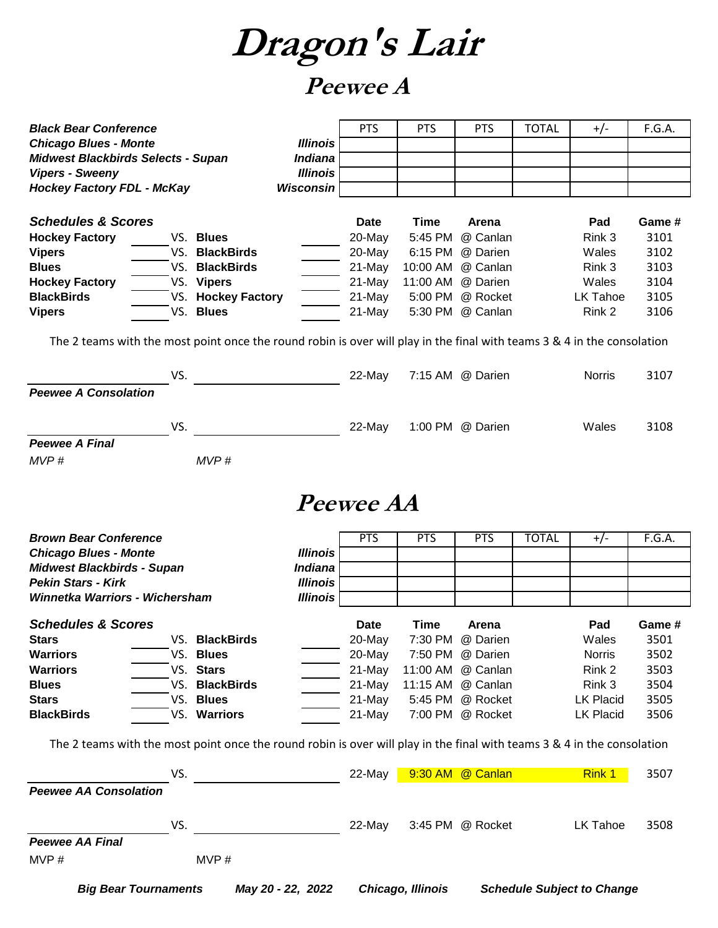**Dragon's Lair**

### **Peewee A**

| <b>Black Bear Conference</b>                                                                                            |                    |                                   | <b>PTS</b>       | <b>PTS</b> | <b>PTS</b>        | <b>TOTAL</b> | $+/-$            | F.G.A. |
|-------------------------------------------------------------------------------------------------------------------------|--------------------|-----------------------------------|------------------|------------|-------------------|--------------|------------------|--------|
| <b>Chicago Blues - Monte</b><br><b>Midwest Blackbirds Selects - Supan</b>                                               |                    | <b>Illinois</b><br><b>Indiana</b> |                  |            |                   |              |                  |        |
| <b>Vipers - Sweeny</b>                                                                                                  |                    | <b>Illinois</b>                   |                  |            |                   |              |                  |        |
| <b>Hockey Factory FDL - McKay</b>                                                                                       |                    | <b>Wisconsin</b>                  |                  |            |                   |              |                  |        |
|                                                                                                                         |                    |                                   |                  |            |                   |              |                  |        |
| <b>Schedules &amp; Scores</b>                                                                                           |                    |                                   | Date             | Time       | Arena             |              | Pad              | Game # |
|                                                                                                                         | VS. Blues          |                                   | 20-May           | 5:45 PM    | @ Canlan          |              | Rink 3           | 3101   |
| <b>Hockey Factory</b>                                                                                                   | VS. BlackBirds     |                                   |                  | 6:15 PM    | @ Darien          |              | Wales            | 3102   |
| <b>Vipers</b><br><b>Blues</b>                                                                                           | <b>BlackBirds</b>  |                                   | 20-May           | 10:00 AM   |                   |              |                  |        |
| VS.                                                                                                                     |                    |                                   | 21-May           |            | @ Canlan          |              | Rink 3           | 3103   |
| <b>Hockey Factory</b>                                                                                                   | VS. Vipers         |                                   | 21-May           | 11:00 AM   | @ Darien          |              | Wales            | 3104   |
| <b>BlackBirds</b>                                                                                                       | VS. Hockey Factory |                                   | 21-May           | 5:00 PM    | @ Rocket          |              | LK Tahoe         | 3105   |
| <b>Vipers</b>                                                                                                           | VS. Blues          |                                   | 21-May           | 5:30 PM    | @ Canlan          |              | Rink 2           | 3106   |
|                                                                                                                         |                    |                                   |                  |            |                   |              |                  |        |
| The 2 teams with the most point once the round robin is over will play in the final with teams 3 & 4 in the consolation |                    |                                   |                  |            |                   |              |                  |        |
|                                                                                                                         |                    |                                   |                  |            |                   |              |                  |        |
| VS.                                                                                                                     |                    |                                   | 22-May           |            | 7:15 AM @ Darien  |              | <b>Norris</b>    | 3107   |
| <b>Peewee A Consolation</b>                                                                                             |                    |                                   |                  |            |                   |              |                  |        |
|                                                                                                                         |                    |                                   |                  |            |                   |              |                  |        |
| VS.                                                                                                                     |                    |                                   | 22-May           |            | 1:00 PM @ Darien  |              | Wales            | 3108   |
| <b>Peewee A Final</b>                                                                                                   |                    |                                   |                  |            |                   |              |                  |        |
| MVP#                                                                                                                    | MVP#               |                                   |                  |            |                   |              |                  |        |
|                                                                                                                         |                    |                                   |                  |            |                   |              |                  |        |
|                                                                                                                         |                    |                                   |                  |            |                   |              |                  |        |
|                                                                                                                         |                    |                                   | <i>Peewee AA</i> |            |                   |              |                  |        |
|                                                                                                                         |                    |                                   |                  |            |                   |              |                  |        |
|                                                                                                                         |                    |                                   |                  |            |                   |              |                  |        |
|                                                                                                                         |                    |                                   |                  |            |                   |              |                  |        |
| <b>Brown Bear Conference</b>                                                                                            |                    |                                   | <b>PTS</b>       | <b>PTS</b> | <b>PTS</b>        | <b>TOTAL</b> | $+/-$            | F.G.A. |
| <b>Chicago Blues - Monte</b>                                                                                            |                    | <b>Illinois</b>                   |                  |            |                   |              |                  |        |
| <b>Midwest Blackbirds - Supan</b>                                                                                       |                    | <b>Indiana</b>                    |                  |            |                   |              |                  |        |
| <b>Pekin Stars - Kirk</b>                                                                                               |                    | <b>Illinois</b>                   |                  |            |                   |              |                  |        |
| <b>Winnetka Warriors - Wichersham</b>                                                                                   |                    | <b>Illinois</b>                   |                  |            |                   |              |                  |        |
| <b>Schedules &amp; Scores</b>                                                                                           |                    |                                   | <b>Date</b>      | Time       | Arena             |              | Pad              | Game # |
| <b>Stars</b>                                                                                                            | VS. BlackBirds     |                                   | 20-May           |            | 7:30 PM @ Darien  |              | Wales            | 3501   |
| <b>Warriors</b>                                                                                                         | VS. Blues          |                                   | 20-May           |            | 7:50 PM @ Darien  |              | Norris           | 3502   |
| <b>Warriors</b>                                                                                                         | VS. Stars          |                                   | 21-May           |            | 11:00 AM @ Canlan |              | Rink 2           | 3503   |
| <b>Blues</b>                                                                                                            | VS. BlackBirds     |                                   | 21-May           |            | 11:15 AM @ Canlan |              | Rink 3           | 3504   |
| <b>Stars</b>                                                                                                            | VS. Blues          |                                   | 21-May           |            | 5:45 PM @ Rocket  |              | <b>LK Placid</b> | 3505   |
| <b>BlackBirds</b>                                                                                                       | VS. Warriors       |                                   | 21-May           |            | 7:00 PM @ Rocket  |              | LK Placid        | 3506   |
|                                                                                                                         |                    |                                   |                  |            |                   |              |                  |        |
| The 2 teams with the most point once the round robin is over will play in the final with teams 3 & 4 in the consolation |                    |                                   |                  |            |                   |              |                  |        |
|                                                                                                                         |                    |                                   |                  |            |                   |              |                  |        |
| VS.                                                                                                                     |                    |                                   | 22-May           |            | 9:30 AM @ Canlan  |              | <b>Rink 1</b>    | 3507   |
| <b>Peewee AA Consolation</b>                                                                                            |                    |                                   |                  |            |                   |              |                  |        |
|                                                                                                                         |                    |                                   |                  |            |                   |              |                  |        |
| VS.                                                                                                                     |                    |                                   | 22-May           |            | 3:45 PM @ Rocket  |              | LK Tahoe         | 3508   |
|                                                                                                                         |                    |                                   |                  |            |                   |              |                  |        |
| <b>Peewee AA Final</b>                                                                                                  |                    |                                   |                  |            |                   |              |                  |        |
| MVP#                                                                                                                    | MVP#               |                                   |                  |            |                   |              |                  |        |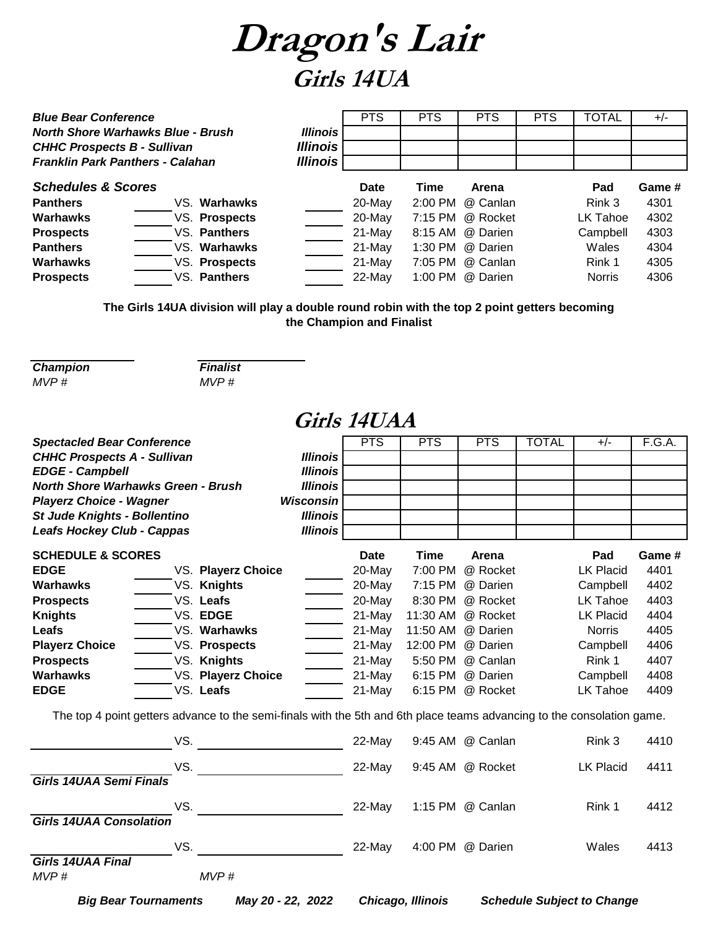

| <b>Blue Bear Conference</b>                                                                                               |               |                 | <b>PTS</b> | <b>PTS</b> | <b>PTS</b>       | <b>PTS</b> | <b>TOTAL</b>  | $+/-$  |
|---------------------------------------------------------------------------------------------------------------------------|---------------|-----------------|------------|------------|------------------|------------|---------------|--------|
| <b>North Shore Warhawks Blue - Brush</b><br><b>CHHC Prospects B - Sullivan</b><br><b>Franklin Park Panthers - Calahan</b> |               | <b>Illinois</b> |            |            |                  |            |               |        |
|                                                                                                                           |               | <b>Illinois</b> |            |            |                  |            |               |        |
|                                                                                                                           |               | <b>Illinois</b> |            |            |                  |            |               |        |
| <b>Schedules &amp; Scores</b>                                                                                             |               |                 | Date       | Time       | <b>Arena</b>     |            | Pad           | Game # |
| <b>Panthers</b>                                                                                                           | VS. Warhawks  |                 | 20-May     | 2:00 PM    | @ Canlan         |            | Rink 3        | 4301   |
| Warhawks                                                                                                                  | VS. Prospects |                 | 20-May     |            | 7:15 PM @ Rocket |            | LK Tahoe      | 4302   |
| <b>Prospects</b>                                                                                                          | VS. Panthers  |                 | 21-May     |            | 8:15 AM @ Darien |            | Campbell      | 4303   |
| <b>Panthers</b>                                                                                                           | VS. Warhawks  |                 | 21-May     | 1:30 PM    | @ Darien         |            | Wales         | 4304   |
| <b>Warhawks</b>                                                                                                           | VS. Prospects |                 | 21-May     | 7:05 PM    | @ Canlan         |            | Rink 1        | 4305   |
| <b>Prospects</b>                                                                                                          | VS. Panthers  |                 | 22-May     |            | 1:00 PM @ Darien |            | <b>Norris</b> | 4306   |

**The Girls 14UA division will play a double round robin with the top 2 point getters becoming the Champion and Finalist**

| <b>Champion</b> | <b>Finalis</b> |
|-----------------|----------------|
| MVP #           | MVP#           |

*Champion Finalist*

#### **Girls 14UAA**

| <b>Spectacled Bear Conference</b><br><b>CHHC Prospects A - Sullivan</b> |     |                                                                                                                        | <b>Illinois</b>  | <b>PTS</b> | <b>PTS</b>        | <b>PTS</b>       | <b>TOTAL</b> | $+/-$                             | F.G.A. |
|-------------------------------------------------------------------------|-----|------------------------------------------------------------------------------------------------------------------------|------------------|------------|-------------------|------------------|--------------|-----------------------------------|--------|
| <b>EDGE - Campbell</b>                                                  |     |                                                                                                                        | <b>Illinois</b>  |            |                   |                  |              |                                   |        |
| <b>North Shore Warhawks Green - Brush</b>                               |     |                                                                                                                        | <b>Illinois</b>  |            |                   |                  |              |                                   |        |
| <b>Playerz Choice - Wagner</b>                                          |     |                                                                                                                        | <b>Wisconsin</b> |            |                   |                  |              |                                   |        |
| St Jude Knights - Bollentino                                            |     |                                                                                                                        | <b>Illinois</b>  |            |                   |                  |              |                                   |        |
| <b>Leafs Hockey Club - Cappas</b>                                       |     |                                                                                                                        | <b>Illinois</b>  |            |                   |                  |              |                                   |        |
| <b>SCHEDULE &amp; SCORES</b>                                            |     |                                                                                                                        |                  | Date       | <b>Time</b>       | Arena            |              | Pad                               | Game # |
| <b>EDGE</b>                                                             |     | VS. Playerz Choice                                                                                                     |                  | 20-May     | 7:00 PM           | @ Rocket         |              | <b>LK Placid</b>                  | 4401   |
| <b>Warhawks</b>                                                         |     | VS. Knights                                                                                                            |                  | 20-May     | 7:15 PM           | @ Darien         |              | Campbell                          | 4402   |
| <b>Prospects</b>                                                        |     | VS. Leafs                                                                                                              |                  | 20-May     | 8:30 PM           | @ Rocket         |              | LK Tahoe                          | 4403   |
| <b>Knights</b>                                                          |     | VS. EDGE                                                                                                               |                  | 21-May     | 11:30 AM          | @ Rocket         |              | LK Placid                         | 4404   |
| Leafs                                                                   |     | VS. Warhawks                                                                                                           |                  | 21-May     | 11:50 AM          | @ Darien         |              | <b>Norris</b>                     | 4405   |
| <b>Playerz Choice</b>                                                   |     | VS. Prospects                                                                                                          |                  | 21-May     | 12:00 PM          | @ Darien         |              | Campbell                          | 4406   |
| <b>Prospects</b>                                                        |     | VS. Knights                                                                                                            |                  | 21-May     | 5:50 PM           | @ Canlan         |              | Rink 1                            | 4407   |
| <b>Warhawks</b>                                                         |     | VS. Playerz Choice                                                                                                     |                  | 21-May     | 6:15 PM           | @ Darien         |              | Campbell                          | 4408   |
| <b>EDGE</b>                                                             |     | VS. Leafs                                                                                                              |                  | 21-May     | 6:15 PM           | @ Rocket         |              | LK Tahoe                          | 4409   |
|                                                                         |     | The top 4 point getters advance to the semi-finals with the 5th and 6th place teams advancing to the consolation game. |                  |            |                   |                  |              |                                   |        |
|                                                                         | VS. |                                                                                                                        |                  | 22-May     |                   | 9:45 AM @ Canlan |              | Rink 3                            | 4410   |
|                                                                         | VS. |                                                                                                                        |                  | 22-May     |                   | 9:45 AM @ Rocket |              | <b>LK Placid</b>                  | 4411   |
| <b>Girls 14UAA Semi Finals</b>                                          |     |                                                                                                                        |                  |            |                   |                  |              |                                   |        |
|                                                                         | VS. |                                                                                                                        |                  | 22-May     |                   | 1:15 PM @ Canlan |              | Rink 1                            | 4412   |
| <b>Girls 14UAA Consolation</b>                                          |     |                                                                                                                        |                  |            |                   |                  |              |                                   |        |
|                                                                         | VS. |                                                                                                                        |                  | 22-May     |                   | 4:00 PM @ Darien |              | Wales                             | 4413   |
| <b>Girls 14UAA Final</b>                                                |     |                                                                                                                        |                  |            |                   |                  |              |                                   |        |
| MVP#                                                                    |     | MVP#                                                                                                                   |                  |            |                   |                  |              |                                   |        |
| <b>Big Bear Tournaments</b>                                             |     | May 20 - 22, 2022                                                                                                      |                  |            | Chicago, Illinois |                  |              | <b>Schedule Subject to Change</b> |        |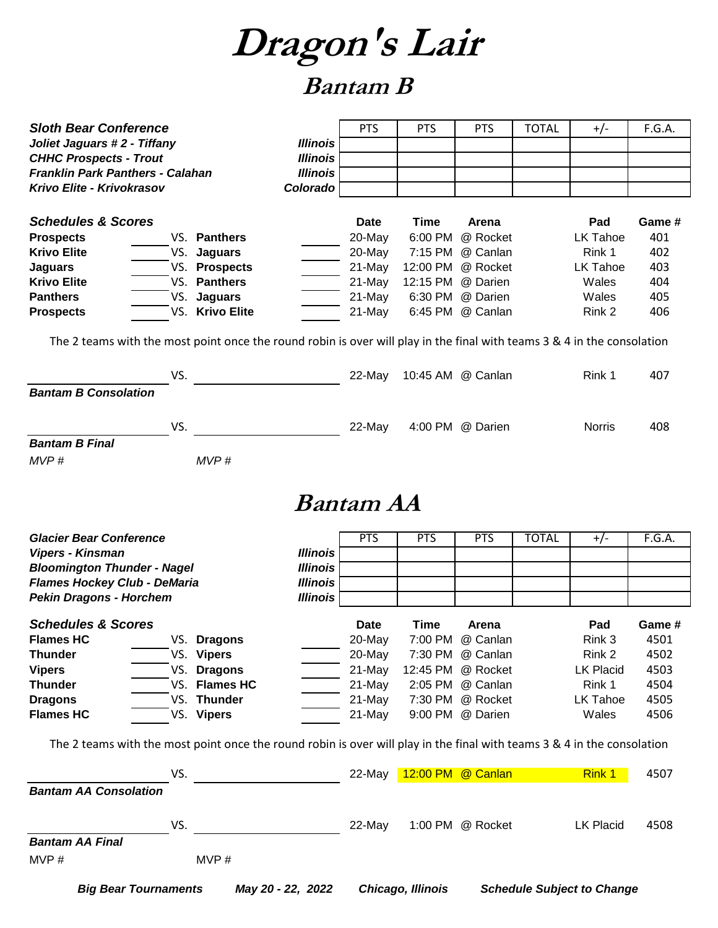**Dragon's Lair**

### **Bantam B**

| <b>Sloth Bear Conference</b>                                                                                            |                 | <b>PTS</b>       | <b>PTS</b>               | <b>PTS</b>        | <b>TOTAL</b> | $+/-$         | F.G.A. |
|-------------------------------------------------------------------------------------------------------------------------|-----------------|------------------|--------------------------|-------------------|--------------|---------------|--------|
| Joliet Jaguars #2 - Tiffany                                                                                             | <b>Illinois</b> |                  |                          |                   |              |               |        |
| <b>CHHC Prospects - Trout</b>                                                                                           | <b>Illinois</b> |                  |                          |                   |              |               |        |
| <b>Franklin Park Panthers - Calahan</b>                                                                                 | <b>Illinois</b> |                  |                          |                   |              |               |        |
| Krivo Elite - Krivokrasov                                                                                               | Colorado        |                  |                          |                   |              |               |        |
|                                                                                                                         |                 |                  |                          |                   |              |               |        |
| <b>Schedules &amp; Scores</b>                                                                                           |                 | <b>Date</b>      | <b>Time</b>              | Arena             |              | Pad           | Game # |
| VS. Panthers<br><b>Prospects</b>                                                                                        |                 | 20-May           | 6:00 PM                  | @ Rocket          |              | LK Tahoe      | 401    |
| <b>Krivo Elite</b><br><b>Jaguars</b><br>VS.                                                                             |                 | 20-May           | 7:15 PM                  | @ Canlan          |              | Rink 1        | 402    |
| VS. Prospects<br><b>Jaguars</b>                                                                                         |                 | 21-May           | 12:00 PM                 | @ Rocket          |              | LK Tahoe      | 403    |
| VS. Panthers<br><b>Krivo Elite</b>                                                                                      |                 | 21-May           | 12:15 PM                 | @ Darien          |              | Wales         | 404    |
| <b>Panthers</b><br>VS. Jaguars                                                                                          |                 | 21-May           | 6:30 PM                  | @ Darien          |              | Wales         | 405    |
| VS. Krivo Elite<br><b>Prospects</b>                                                                                     |                 | 21-May           | 6:45 PM                  | @ Canlan          |              | Rink 2        | 406    |
| The 2 teams with the most point once the round robin is over will play in the final with teams 3 & 4 in the consolation |                 |                  |                          |                   |              |               |        |
|                                                                                                                         |                 |                  |                          |                   |              |               |        |
| VS.                                                                                                                     |                 | 22-May           |                          | 10:45 AM @ Canlan |              | Rink 1        | 407    |
| <b>Bantam B Consolation</b>                                                                                             |                 |                  |                          |                   |              |               |        |
|                                                                                                                         |                 |                  |                          |                   |              |               |        |
|                                                                                                                         |                 |                  |                          |                   |              |               |        |
| VS.                                                                                                                     |                 | 22-May           |                          | 4:00 PM @ Darien  |              | <b>Norris</b> | 408    |
| <b>Bantam B Final</b>                                                                                                   |                 |                  |                          |                   |              |               |        |
| MVP#<br>MVP#                                                                                                            |                 |                  |                          |                   |              |               |        |
|                                                                                                                         |                 |                  |                          |                   |              |               |        |
|                                                                                                                         |                 | <i>Bantam AA</i> |                          |                   |              |               |        |
|                                                                                                                         |                 |                  |                          |                   |              |               |        |
|                                                                                                                         |                 |                  |                          |                   |              |               |        |
| <b>Glacier Bear Conference</b>                                                                                          |                 | <b>PTS</b>       | <b>PTS</b>               | <b>PTS</b>        | <b>TOTAL</b> | $+/-$         | F.G.A. |
| Vipers - Kinsman                                                                                                        | <b>Illinois</b> |                  |                          |                   |              |               |        |
| <b>Bloomington Thunder - Nagel</b>                                                                                      | <b>Illinois</b> |                  |                          |                   |              |               |        |
| <b>Flames Hockey Club - DeMaria</b>                                                                                     | <b>Illinois</b> |                  |                          |                   |              |               |        |
| <b>Pekin Dragons - Horchem</b>                                                                                          | <b>Illinois</b> |                  |                          |                   |              |               |        |
|                                                                                                                         |                 |                  |                          |                   |              |               |        |
| <b>Schedules &amp; Scores</b>                                                                                           |                 | <b>Date</b>      | <b>Time</b>              | Arena             |              | Pad           | Game # |
| <b>Flames HC</b><br>VS.<br><b>Dragons</b>                                                                               |                 | 20-May           | 7:00 PM                  | @ Canlan          |              | Rink 3        | 4501   |
| VS. Vipers<br><b>Thunder</b>                                                                                            |                 | 20-May           |                          | 7:30 PM @ Canlan  |              | Rink 2        | 4502   |
| VS. Dragons<br><b>Vipers</b>                                                                                            |                 | 21-May           | 12:45 PM                 | @ Rocket          |              | LK Placid     | 4503   |
| VS. Flames HC<br><b>Thunder</b>                                                                                         |                 | 21-May           |                          | 2:05 PM @ Canlan  |              | Rink 1        | 4504   |
| VS. Thunder<br><b>Dragons</b>                                                                                           |                 | 21-May           |                          | 7:30 PM @ Rocket  |              | LK Tahoe      | 4505   |
| <b>Flames HC</b><br>VS. Vipers                                                                                          |                 | 21-May           |                          | 9:00 PM @ Darien  |              | Wales         | 4506   |
|                                                                                                                         |                 |                  |                          |                   |              |               |        |
| The 2 teams with the most point once the round robin is over will play in the final with teams 3 & 4 in the consolation |                 |                  |                          |                   |              |               |        |
| VS.                                                                                                                     |                 |                  | 22-May 12:00 PM @ Canlan |                   |              | Rink 1        | 4507   |
| <b>Bantam AA Consolation</b>                                                                                            |                 |                  |                          |                   |              |               |        |
|                                                                                                                         |                 |                  |                          |                   |              |               |        |
| VS.                                                                                                                     |                 | 22-May           |                          | 1:00 PM @ Rocket  |              | LK Placid     | 4508   |
| <b>Bantam AA Final</b>                                                                                                  |                 |                  |                          |                   |              |               |        |
|                                                                                                                         |                 |                  |                          |                   |              |               |        |
| MVP#<br>MVP#                                                                                                            |                 |                  |                          |                   |              |               |        |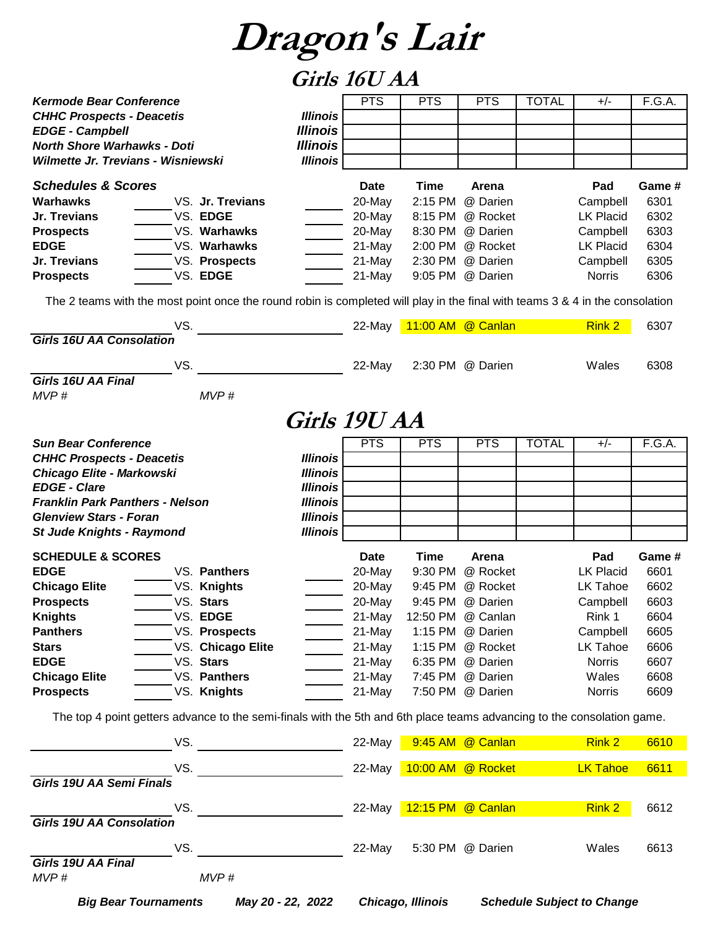#### **Girls 16U AA**

|                                                                                                                              |                   |                 | UIIIJ IUU ILI |            |                   |              |                  |        |
|------------------------------------------------------------------------------------------------------------------------------|-------------------|-----------------|---------------|------------|-------------------|--------------|------------------|--------|
| <b>Kermode Bear Conference</b>                                                                                               |                   |                 | <b>PTS</b>    | <b>PTS</b> | <b>PTS</b>        | <b>TOTAL</b> | $+/-$            | F.G.A. |
| <b>CHHC Prospects - Deacetis</b>                                                                                             |                   | <b>Illinois</b> |               |            |                   |              |                  |        |
| <b>EDGE - Campbell</b>                                                                                                       |                   | <b>Illinois</b> |               |            |                   |              |                  |        |
| <b>North Shore Warhawks - Doti</b>                                                                                           |                   | <b>Illinois</b> |               |            |                   |              |                  |        |
| Wilmette Jr. Trevians - Wisniewski                                                                                           |                   | <b>Illinois</b> |               |            |                   |              |                  |        |
|                                                                                                                              |                   |                 |               |            |                   |              |                  |        |
| <b>Schedules &amp; Scores</b>                                                                                                |                   |                 | Date          | Time       | Arena             |              | Pad              | Game # |
| <b>Warhawks</b>                                                                                                              | VS. Jr. Trevians  |                 | 20-May        | 2:15 PM    | @ Darien          |              | Campbell         | 6301   |
| Jr. Trevians                                                                                                                 | VS. EDGE          |                 | 20-May        | 8:15 PM    | @ Rocket          |              | <b>LK Placid</b> | 6302   |
| <b>Prospects</b>                                                                                                             | VS. Warhawks      |                 | 20-May        | 8:30 PM    | @ Darien          |              | Campbell         | 6303   |
| <b>EDGE</b>                                                                                                                  | VS. Warhawks      |                 | 21-May        | 2:00 PM    | @ Rocket          |              | <b>LK Placid</b> | 6304   |
| Jr. Trevians                                                                                                                 | VS. Prospects     |                 | 21-May        | 2:30 PM    | @ Darien          |              | Campbell         | 6305   |
| <b>Prospects</b>                                                                                                             | VS. EDGE          |                 | 21-May        | 9:05 PM    | @ Darien          |              | <b>Norris</b>    | 6306   |
| The 2 teams with the most point once the round robin is completed will play in the final with teams 3 & 4 in the consolation |                   |                 |               |            |                   |              |                  |        |
|                                                                                                                              |                   |                 |               |            |                   |              |                  |        |
|                                                                                                                              | VS.               |                 | 22-May        |            | 11:00 AM @ Canlan |              | <b>Rink 2</b>    | 6307   |
| <b>Girls 16U AA Consolation</b>                                                                                              |                   |                 |               |            |                   |              |                  |        |
|                                                                                                                              |                   |                 |               |            |                   |              |                  |        |
| Girls 16U AA Final                                                                                                           | VS.               |                 | 22-May        |            | 2:30 PM @ Darien  |              | Wales            | 6308   |
| MVP#                                                                                                                         | MVP#              |                 |               |            |                   |              |                  |        |
|                                                                                                                              |                   |                 |               |            |                   |              |                  |        |
|                                                                                                                              |                   | Girls 19U AA    |               |            |                   |              |                  |        |
|                                                                                                                              |                   |                 |               |            |                   |              |                  |        |
| <b>Sun Bear Conference</b>                                                                                                   |                   |                 | PTS           | <b>PTS</b> | <b>PTS</b>        | <b>TOTAL</b> | $+/-$            | F.G.A. |
| <b>CHHC Prospects - Deacetis</b>                                                                                             |                   | <b>Illinois</b> |               |            |                   |              |                  |        |
| Chicago Elite - Markowski                                                                                                    |                   | <b>Illinois</b> |               |            |                   |              |                  |        |
| <b>EDGE - Clare</b>                                                                                                          |                   | <b>Illinois</b> |               |            |                   |              |                  |        |
| <b>Franklin Park Panthers - Nelson</b>                                                                                       |                   | <b>Illinois</b> |               |            |                   |              |                  |        |
| <b>Glenview Stars - Foran</b>                                                                                                |                   | <b>Illinois</b> |               |            |                   |              |                  |        |
| <b>St Jude Knights - Raymond</b>                                                                                             |                   | <b>Illinois</b> |               |            |                   |              |                  |        |
| <b>SCHEDULE &amp; SCORES</b>                                                                                                 |                   |                 | Date          | Time       | Arena             |              | Pad              | Game # |
| <b>EDGE</b>                                                                                                                  | VS. Panthers      |                 | 20-May        | 9:30 PM    | @ Rocket          |              | <b>LK Placid</b> | 6601   |
| <b>Chicago Elite</b>                                                                                                         | VS. Knights       |                 | 20-May        | 9:45 PM    | @ Rocket          |              | <b>LK Tahoe</b>  | 6602   |
| <b>Prospects</b>                                                                                                             | VS. Stars         |                 | 20-May        | 9:45 PM    | @ Darien          |              | Campbell         | 6603   |
| <b>Knights</b>                                                                                                               | VS. EDGE          |                 | 21-May        |            | 12:50 PM @ Canlan |              | Rink 1           | 6604   |
| <b>Panthers</b>                                                                                                              | VS. Prospects     |                 | 21-May        |            | 1:15 PM @ Darien  |              | Campbell         | 6605   |
| <b>Stars</b>                                                                                                                 | VS. Chicago Elite |                 | 21-May        |            | 1:15 PM @ Rocket  |              | LK Tahoe         | 6606   |
| <b>EDGE</b>                                                                                                                  | VS. Stars         |                 | 21-May        |            | 6:35 PM @ Darien  |              | <b>Norris</b>    | 6607   |
| <b>Chicago Elite</b>                                                                                                         | VS. Panthers      |                 | 21-May        |            | 7:45 PM @ Darien  |              | Wales            | 6608   |
| <b>Prospects</b>                                                                                                             | VS. Knights       |                 | 21-May        |            | 7:50 PM @ Darien  |              | <b>Norris</b>    | 6609   |
|                                                                                                                              |                   |                 |               |            |                   |              |                  |        |
| The top 4 point getters advance to the semi-finals with the 5th and 6th place teams advancing to the consolation game.       |                   |                 |               |            |                   |              |                  |        |
|                                                                                                                              |                   |                 |               |            | 9:45 AM @ Canlan  |              |                  |        |
|                                                                                                                              | VS.               |                 | 22-May        |            |                   |              | Rink 2           | 6610   |
|                                                                                                                              | VS.               |                 | 22-May        |            | 10:00 AM @ Rocket |              | <b>LK Tahoe</b>  | 6611   |
| Girls 19U AA Semi Finals                                                                                                     |                   |                 |               |            |                   |              |                  |        |
|                                                                                                                              |                   |                 |               |            |                   |              |                  |        |
|                                                                                                                              | VS.               |                 | 22-May        |            | 12:15 PM @ Canlan |              | Rink 2           | 6612   |
| <b>Girls 19U AA Consolation</b>                                                                                              |                   |                 |               |            |                   |              |                  |        |
|                                                                                                                              |                   |                 |               |            |                   |              |                  |        |
|                                                                                                                              | VS.               |                 | 22-May        |            | 5:30 PM @ Darien  |              | Wales            | 6613   |
| Girls 19U AA Final                                                                                                           |                   |                 |               |            |                   |              |                  |        |
| MVP#                                                                                                                         | MVP#              |                 |               |            |                   |              |                  |        |

*Big Bear Tournaments May 20 - 22, 2022 Chicago, Illinois Schedule Subject to Change*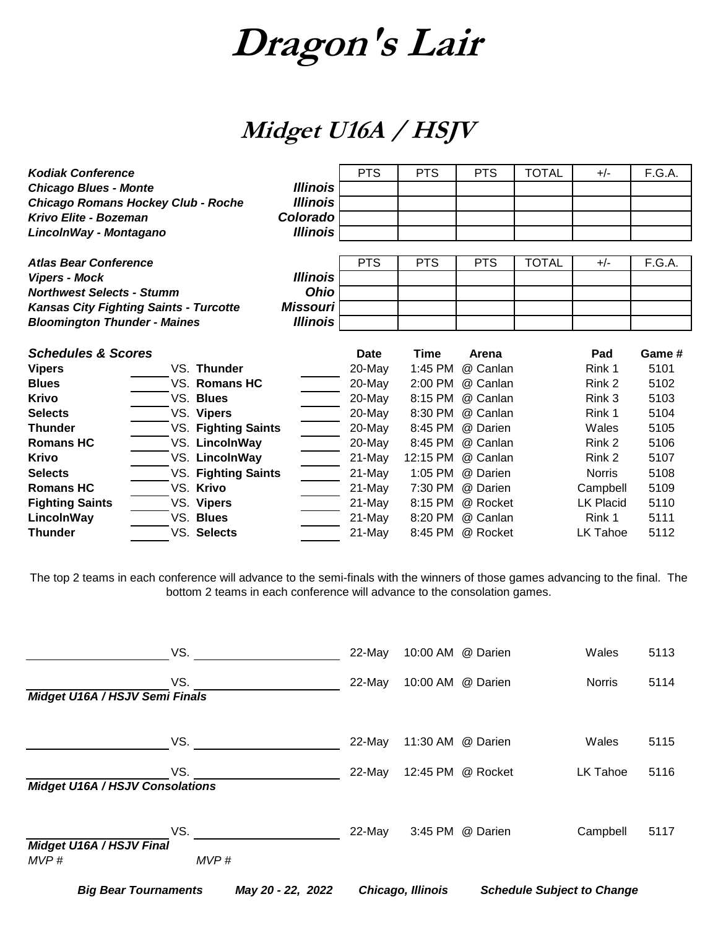### **Midget U16A / HSJV**

| <b>Kodiak Conference</b>            |                                               |                 | <b>PTS</b>  | <b>PTS</b>  | <b>PTS</b> | <b>TOTAL</b> | $+/-$            | F.G.A. |
|-------------------------------------|-----------------------------------------------|-----------------|-------------|-------------|------------|--------------|------------------|--------|
| <b>Chicago Blues - Monte</b>        |                                               | <b>Illinois</b> |             |             |            |              |                  |        |
|                                     | <b>Chicago Romans Hockey Club - Roche</b>     | <b>Illinois</b> |             |             |            |              |                  |        |
| Krivo Elite - Bozeman               |                                               | Colorado        |             |             |            |              |                  |        |
| LincolnWay - Montagano              |                                               | <b>Illinois</b> |             |             |            |              |                  |        |
|                                     |                                               |                 |             |             |            |              |                  |        |
| <b>Atlas Bear Conference</b>        |                                               |                 | <b>PTS</b>  | <b>PTS</b>  | <b>PTS</b> | <b>TOTAL</b> | $+/-$            | F.G.A. |
| <b>Vipers - Mock</b>                |                                               | <b>Illinois</b> |             |             |            |              |                  |        |
| <b>Northwest Selects - Stumm</b>    |                                               | <b>Ohio</b>     |             |             |            |              |                  |        |
|                                     | <b>Kansas City Fighting Saints - Turcotte</b> | <b>Missouri</b> |             |             |            |              |                  |        |
| <b>Bloomington Thunder - Maines</b> |                                               | <b>Illinois</b> |             |             |            |              |                  |        |
|                                     |                                               |                 |             |             |            |              |                  |        |
| <b>Schedules &amp; Scores</b>       |                                               |                 | <b>Date</b> | <b>Time</b> | Arena      |              | Pad              | Game # |
| <b>Vipers</b>                       | VS. Thunder                                   |                 | 20-May      | 1:45 PM     | @ Canlan   |              | Rink 1           | 5101   |
| <b>Blues</b>                        | VS. Romans HC                                 |                 | 20-May      | 2:00 PM     | @ Canlan   |              | Rink 2           | 5102   |
| <b>Krivo</b>                        | VS. Blues                                     |                 | 20-May      | 8:15 PM     | @ Canlan   |              | Rink 3           | 5103   |
| <b>Selects</b>                      | VS. Vipers                                    |                 | 20-May      | 8:30 PM     | @ Canlan   |              | Rink 1           | 5104   |
| <b>Thunder</b>                      | VS. Fighting Saints                           |                 | 20-May      | 8:45 PM     | @ Darien   |              | Wales            | 5105   |
| <b>Romans HC</b>                    | VS. LincolnWay                                |                 | 20-May      | 8:45 PM     | @ Canlan   |              | Rink 2           | 5106   |
| <b>Krivo</b>                        | VS. LincolnWay                                |                 | 21-May      | 12:15 PM    | @ Canlan   |              | Rink 2           | 5107   |
| <b>Selects</b>                      | VS. Fighting Saints                           |                 | 21-May      | 1:05 PM     | @ Darien   |              | <b>Norris</b>    | 5108   |
| <b>Romans HC</b>                    | VS. Krivo                                     |                 | 21-May      | 7:30 PM     | @ Darien   |              | Campbell         | 5109   |
| <b>Fighting Saints</b>              | VS. Vipers                                    |                 | 21-May      | 8:15 PM     | @ Rocket   |              | <b>LK Placid</b> | 5110   |
| LincolnWay                          | VS. Blues                                     |                 | 21-May      | 8:20 PM     | @ Canlan   |              | Rink 1           | 5111   |
| <b>Thunder</b>                      | VS. Selects                                   |                 | 21-May      | 8:45 PM     | @ Rocket   |              | LK Tahoe         | 5112   |

The top 2 teams in each conference will advance to the semi-finals with the winners of those games advancing to the final. The bottom 2 teams in each conference will advance to the consolation games.

|                                        | VS.         |                   | 22-May   | 10:00 AM @ Darien |                   | Wales                             | 5113 |
|----------------------------------------|-------------|-------------------|----------|-------------------|-------------------|-----------------------------------|------|
| Midget U16A / HSJV Semi Finals         | VS.         |                   | 22-May   |                   | 10:00 AM @ Darien | <b>Norris</b>                     | 5114 |
|                                        | VS.         |                   | $22-Mav$ | 11:30 AM @ Darien |                   | Wales                             | 5115 |
| <b>Midget U16A / HSJV Consolations</b> | VS.         |                   | 22-May   | 12:45 PM          | @ Rocket          | <b>LK Tahoe</b>                   | 5116 |
| Midget U16A / HSJV Final<br>MVP#       | VS.<br>MVP# |                   | 22-May   |                   | 3:45 PM @ Darien  | Campbell                          | 5117 |
| <b>Big Bear Tournaments</b>            |             | May 20 - 22, 2022 |          | Chicago, Illinois |                   | <b>Schedule Subject to Change</b> |      |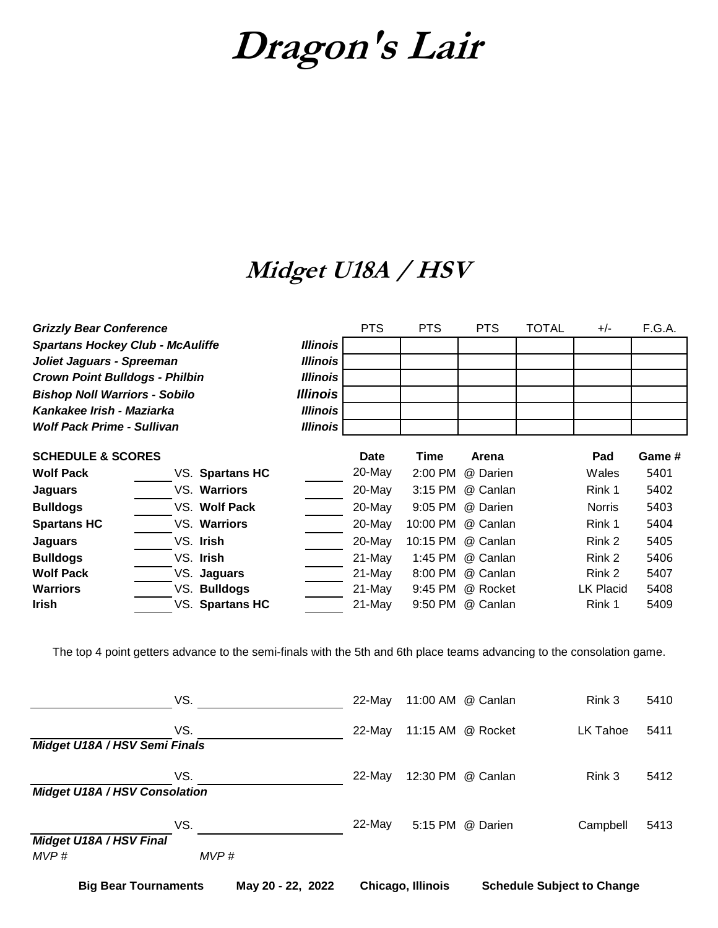### **Midget U18A / HSV**

| <b>Grizzly Bear Conference</b>          |                        |                        | <b>PTS</b> | <b>PTS</b> | <b>PTS</b> | <b>TOTAL</b> | $+/-$         | F.G.A. |
|-----------------------------------------|------------------------|------------------------|------------|------------|------------|--------------|---------------|--------|
| <b>Spartans Hockey Club - McAuliffe</b> |                        | <b>Illinois</b>        |            |            |            |              |               |        |
| Joliet Jaguars - Spreeman               |                        | <b>Illinois</b>        |            |            |            |              |               |        |
| <b>Crown Point Bulldogs - Philbin</b>   |                        | <b>Illinois</b>        |            |            |            |              |               |        |
| <b>Bishop Noll Warriors - Sobilo</b>    |                        | <i><b>Illinois</b></i> |            |            |            |              |               |        |
| Kankakee Irish - Maziarka               |                        | <b>Illinois</b>        |            |            |            |              |               |        |
| <b>Wolf Pack Prime - Sullivan</b>       |                        | <b>Illinois</b>        |            |            |            |              |               |        |
| <b>SCHEDULE &amp; SCORES</b>            |                        |                        | Date       | Time       | Arena      |              | Pad           | Game # |
| <b>Wolf Pack</b>                        | <b>VS. Spartans HC</b> |                        | 20-May     | 2:00 PM    | @ Darien   |              | Wales         | 5401   |
| <b>Jaguars</b>                          | VS. Warriors           |                        | 20-May     | 3:15 PM    | @ Canlan   |              | Rink 1        | 5402   |
| <b>Bulldogs</b>                         | VS. Wolf Pack          |                        | 20-May     | 9:05 PM    | @ Darien   |              | <b>Norris</b> | 5403   |
| <b>Spartans HC</b>                      | VS. Warriors           |                        | 20-May     | 10:00 PM   | @ Canlan   |              | Rink 1        | 5404   |
| <b>Jaguars</b>                          | VS. Irish              |                        | 20-May     | 10:15 PM   | @ Canlan   |              | Rink 2        | 5405   |
| <b>Bulldogs</b>                         | VS. Irish              |                        | 21-May     | 1:45 PM    | @ Canlan   |              | Rink 2        | 5406   |
| <b>Wolf Pack</b>                        | VS. Jaguars            |                        | 21-May     | 8:00 PM    | @ Canlan   |              | Rink 2        | 5407   |
| <b>Warriors</b>                         | VS. Bulldogs           |                        | 21-May     | 9:45 PM    | @ Rocket   |              | LK Placid     | 5408   |
| Irish                                   | VS. Spartans HC        |                        | 21-May     | 9:50 PM    | @ Canlan   |              | Rink 1        | 5409   |

The top 4 point getters advance to the semi-finals with the 5th and 6th place teams advancing to the consolation game.

| May 20 - 22, 2022<br><b>Big Bear Tournaments</b> |      |  | Chicago, Illinois |  | <b>Schedule Subject to Change</b> |          |      |
|--------------------------------------------------|------|--|-------------------|--|-----------------------------------|----------|------|
| MVP#                                             | MVP# |  |                   |  |                                   |          |      |
| Midget U18A / HSV Final                          |      |  |                   |  |                                   |          |      |
|                                                  | VS.  |  | $22$ -May         |  | 5:15 PM @ Darien                  | Campbell | 5413 |
| <b>Midget U18A / HSV Consolation</b>             | VS.  |  | $22$ -May         |  | 12:30 PM @ Canlan                 | Rink 3   | 5412 |
| Midget U18A / HSV Semi Finals                    | VS.  |  | $22$ -May         |  | 11:15 AM @ Rocket                 | LK Tahoe | 5411 |
|                                                  | VS.  |  | 22-May            |  | 11:00 AM @ Canlan                 | Rink 3   | 5410 |